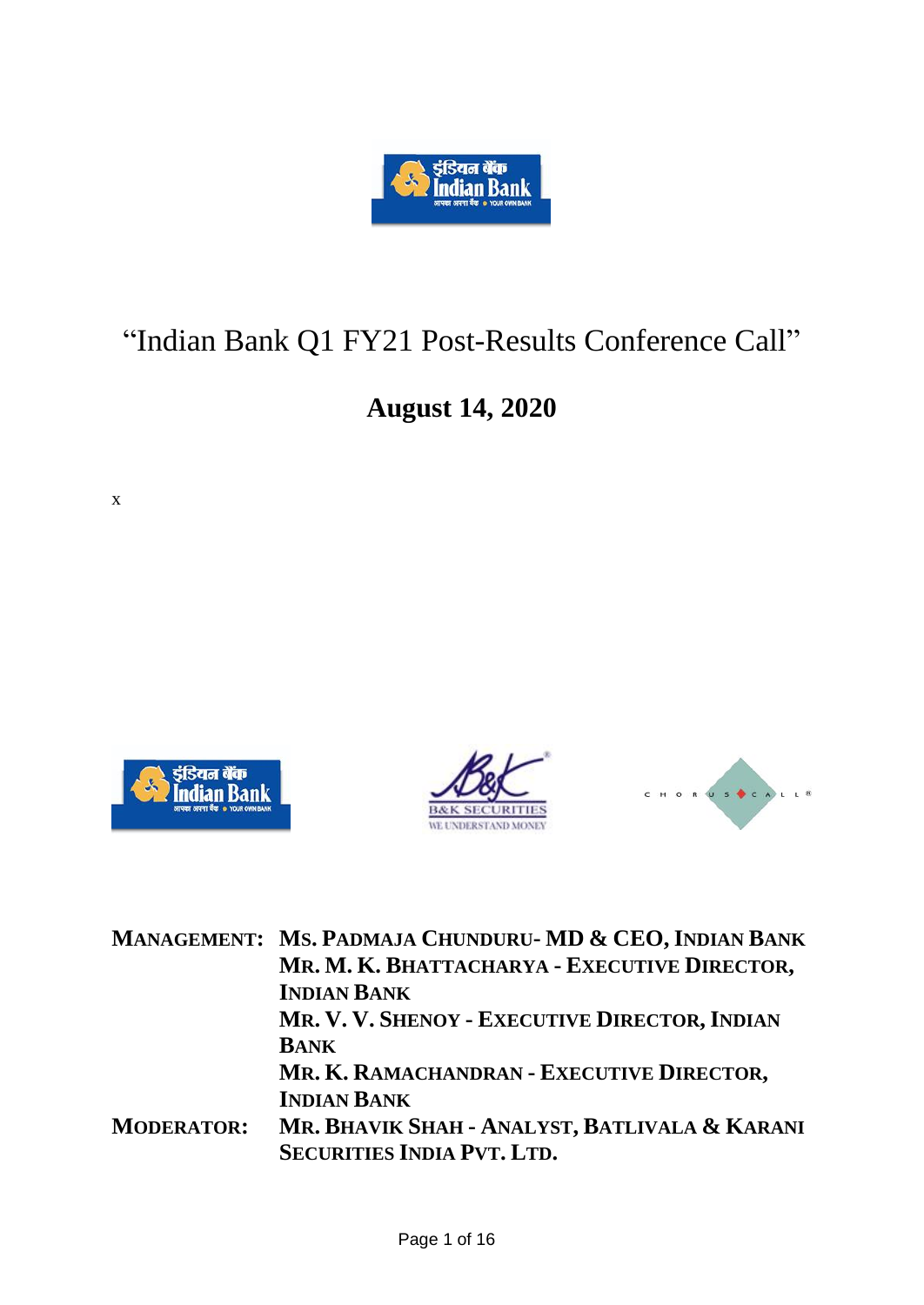

## "Indian Bank Q1 FY21 Post-Results Conference Call"

## **August 14, 2020**

x







|                   | MANAGEMENT: MS. PADMAJA CHUNDURU- MD & CEO, INDIAN BANK                            |
|-------------------|------------------------------------------------------------------------------------|
|                   | MR. M. K. BHATTACHARYA - EXECUTIVE DIRECTOR,                                       |
|                   | <b>INDIAN BANK</b>                                                                 |
|                   | MR. V. V. SHENOY - EXECUTIVE DIRECTOR, INDIAN                                      |
|                   | <b>BANK</b>                                                                        |
|                   | MR. K. RAMACHANDRAN - EXECUTIVE DIRECTOR,                                          |
|                   | <b>INDIAN BANK</b>                                                                 |
| <b>MODERATOR:</b> | MR. BHAVIK SHAH - ANALYST, BATLIVALA & KARANI<br><b>SECURITIES INDIA PVT. LTD.</b> |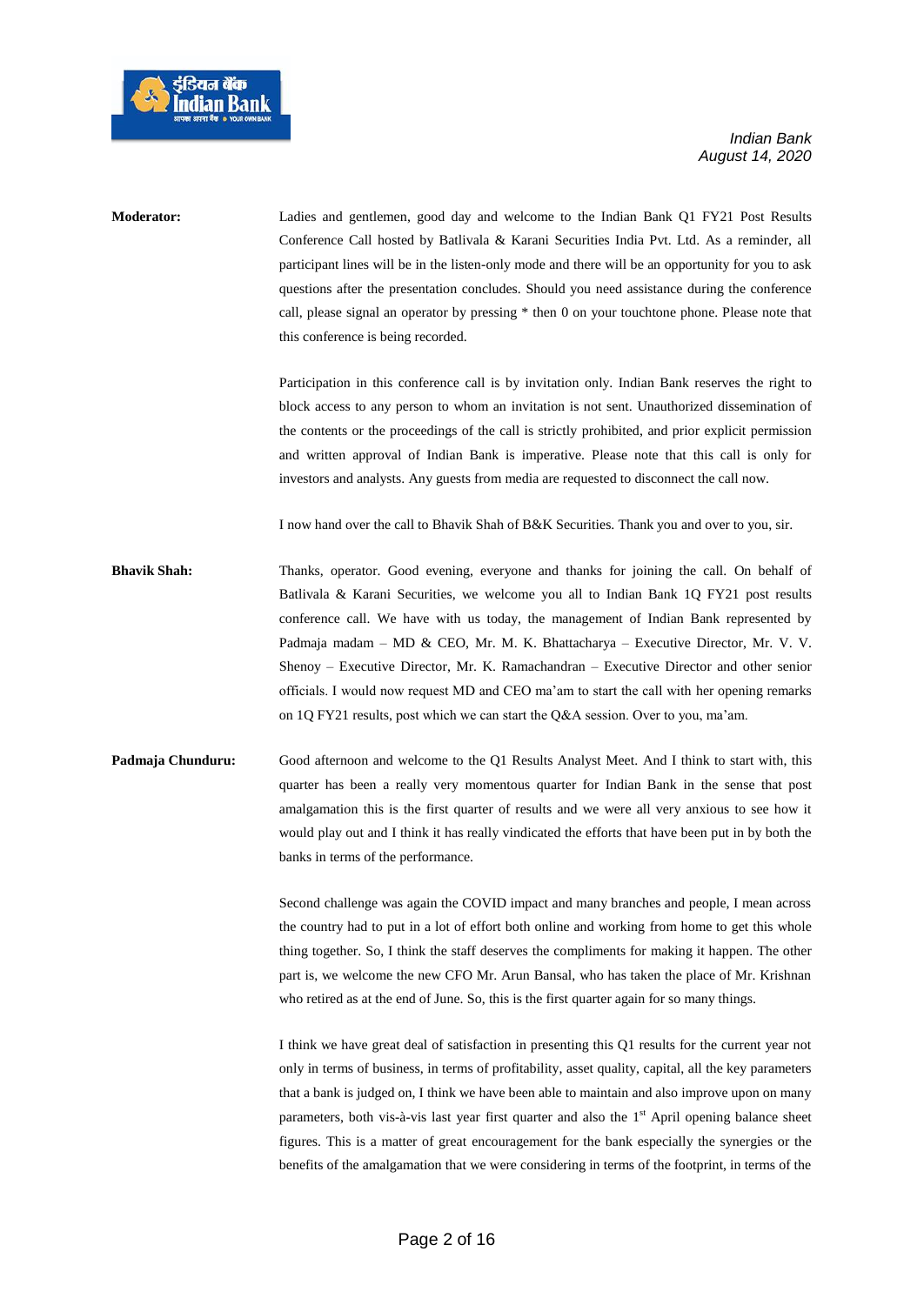



**Moderator:** Ladies and gentlemen, good day and welcome to the Indian Bank Q1 FY21 Post Results Conference Call hosted by Batlivala & Karani Securities India Pvt. Ltd. As a reminder, all participant lines will be in the listen-only mode and there will be an opportunity for you to ask questions after the presentation concludes. Should you need assistance during the conference call, please signal an operator by pressing \* then 0 on your touchtone phone. Please note that this conference is being recorded.

> Participation in this conference call is by invitation only. Indian Bank reserves the right to block access to any person to whom an invitation is not sent. Unauthorized dissemination of the contents or the proceedings of the call is strictly prohibited, and prior explicit permission and written approval of Indian Bank is imperative. Please note that this call is only for investors and analysts. Any guests from media are requested to disconnect the call now.

I now hand over the call to Bhavik Shah of B&K Securities. Thank you and over to you, sir.

- **Bhavik Shah:** Thanks, operator. Good evening, everyone and thanks for joining the call. On behalf of Batlivala & Karani Securities, we welcome you all to Indian Bank 1Q FY21 post results conference call. We have with us today, the management of Indian Bank represented by Padmaja madam – MD & CEO, Mr. M. K. Bhattacharya – Executive Director, Mr. V. V. Shenoy – Executive Director, Mr. K. Ramachandran – Executive Director and other senior officials. I would now request MD and CEO ma'am to start the call with her opening remarks on 1Q FY21 results, post which we can start the Q&A session. Over to you, ma'am.
- **Padmaja Chunduru:** Good afternoon and welcome to the Q1 Results Analyst Meet. And I think to start with, this quarter has been a really very momentous quarter for Indian Bank in the sense that post amalgamation this is the first quarter of results and we were all very anxious to see how it would play out and I think it has really vindicated the efforts that have been put in by both the banks in terms of the performance.

Second challenge was again the COVID impact and many branches and people, I mean across the country had to put in a lot of effort both online and working from home to get this whole thing together. So, I think the staff deserves the compliments for making it happen. The other part is, we welcome the new CFO Mr. Arun Bansal, who has taken the place of Mr. Krishnan who retired as at the end of June. So, this is the first quarter again for so many things.

I think we have great deal of satisfaction in presenting this Q1 results for the current year not only in terms of business, in terms of profitability, asset quality, capital, all the key parameters that a bank is judged on, I think we have been able to maintain and also improve upon on many parameters, both vis-à-vis last year first quarter and also the 1<sup>st</sup> April opening balance sheet figures. This is a matter of great encouragement for the bank especially the synergies or the benefits of the amalgamation that we were considering in terms of the footprint, in terms of the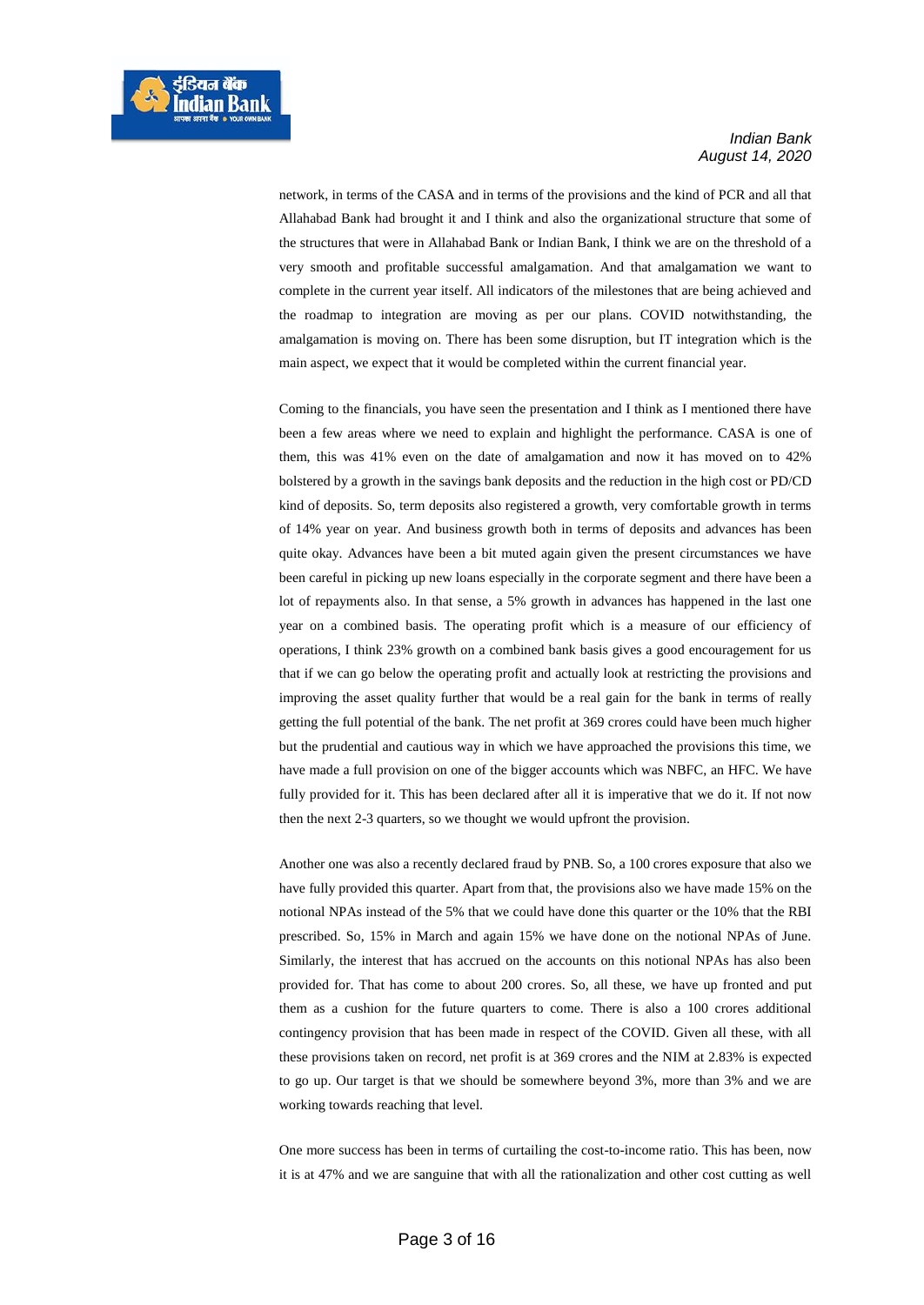network, in terms of the CASA and in terms of the provisions and the kind of PCR and all that Allahabad Bank had brought it and I think and also the organizational structure that some of the structures that were in Allahabad Bank or Indian Bank, I think we are on the threshold of a very smooth and profitable successful amalgamation. And that amalgamation we want to complete in the current year itself. All indicators of the milestones that are being achieved and the roadmap to integration are moving as per our plans. COVID notwithstanding, the amalgamation is moving on. There has been some disruption, but IT integration which is the main aspect, we expect that it would be completed within the current financial year.

Coming to the financials, you have seen the presentation and I think as I mentioned there have been a few areas where we need to explain and highlight the performance. CASA is one of them, this was 41% even on the date of amalgamation and now it has moved on to 42% bolstered by a growth in the savings bank deposits and the reduction in the high cost or PD/CD kind of deposits. So, term deposits also registered a growth, very comfortable growth in terms of 14% year on year. And business growth both in terms of deposits and advances has been quite okay. Advances have been a bit muted again given the present circumstances we have been careful in picking up new loans especially in the corporate segment and there have been a lot of repayments also. In that sense, a 5% growth in advances has happened in the last one year on a combined basis. The operating profit which is a measure of our efficiency of operations, I think 23% growth on a combined bank basis gives a good encouragement for us that if we can go below the operating profit and actually look at restricting the provisions and improving the asset quality further that would be a real gain for the bank in terms of really getting the full potential of the bank. The net profit at 369 crores could have been much higher but the prudential and cautious way in which we have approached the provisions this time, we have made a full provision on one of the bigger accounts which was NBFC, an HFC. We have fully provided for it. This has been declared after all it is imperative that we do it. If not now then the next 2-3 quarters, so we thought we would upfront the provision.

Another one was also a recently declared fraud by PNB. So, a 100 crores exposure that also we have fully provided this quarter. Apart from that, the provisions also we have made 15% on the notional NPAs instead of the 5% that we could have done this quarter or the 10% that the RBI prescribed. So, 15% in March and again 15% we have done on the notional NPAs of June. Similarly, the interest that has accrued on the accounts on this notional NPAs has also been provided for. That has come to about 200 crores. So, all these, we have up fronted and put them as a cushion for the future quarters to come. There is also a 100 crores additional contingency provision that has been made in respect of the COVID. Given all these, with all these provisions taken on record, net profit is at 369 crores and the NIM at 2.83% is expected to go up. Our target is that we should be somewhere beyond 3%, more than 3% and we are working towards reaching that level.

One more success has been in terms of curtailing the cost-to-income ratio. This has been, now it is at 47% and we are sanguine that with all the rationalization and other cost cutting as well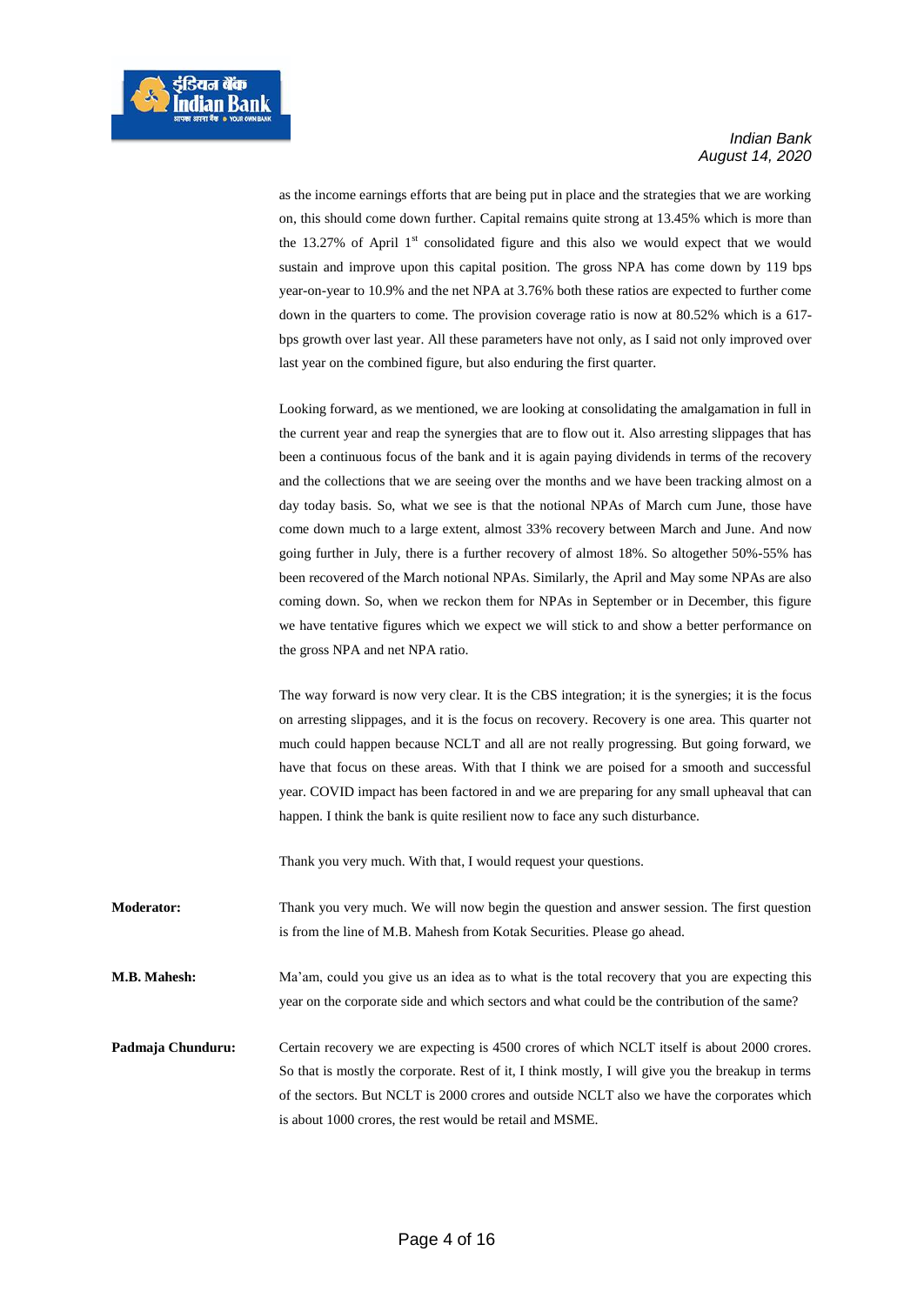as the income earnings efforts that are being put in place and the strategies that we are working on, this should come down further. Capital remains quite strong at 13.45% which is more than the 13.27% of April 1<sup>st</sup> consolidated figure and this also we would expect that we would sustain and improve upon this capital position. The gross NPA has come down by 119 bps year-on-year to 10.9% and the net NPA at 3.76% both these ratios are expected to further come down in the quarters to come. The provision coverage ratio is now at 80.52% which is a 617 bps growth over last year. All these parameters have not only, as I said not only improved over last year on the combined figure, but also enduring the first quarter.

Looking forward, as we mentioned, we are looking at consolidating the amalgamation in full in the current year and reap the synergies that are to flow out it. Also arresting slippages that has been a continuous focus of the bank and it is again paying dividends in terms of the recovery and the collections that we are seeing over the months and we have been tracking almost on a day today basis. So, what we see is that the notional NPAs of March cum June, those have come down much to a large extent, almost 33% recovery between March and June. And now going further in July, there is a further recovery of almost 18%. So altogether 50%-55% has been recovered of the March notional NPAs. Similarly, the April and May some NPAs are also coming down. So, when we reckon them for NPAs in September or in December, this figure we have tentative figures which we expect we will stick to and show a better performance on the gross NPA and net NPA ratio.

The way forward is now very clear. It is the CBS integration; it is the synergies; it is the focus on arresting slippages, and it is the focus on recovery. Recovery is one area. This quarter not much could happen because NCLT and all are not really progressing. But going forward, we have that focus on these areas. With that I think we are poised for a smooth and successful year. COVID impact has been factored in and we are preparing for any small upheaval that can happen. I think the bank is quite resilient now to face any such disturbance.

Thank you very much. With that, I would request your questions.

**Moderator:** Thank you very much. We will now begin the question and answer session. The first question is from the line of M.B. Mahesh from Kotak Securities. Please go ahead.

**M.B. Mahesh:** Ma'am, could you give us an idea as to what is the total recovery that you are expecting this year on the corporate side and which sectors and what could be the contribution of the same?

**Padmaja Chunduru:** Certain recovery we are expecting is 4500 crores of which NCLT itself is about 2000 crores. So that is mostly the corporate. Rest of it, I think mostly, I will give you the breakup in terms of the sectors. But NCLT is 2000 crores and outside NCLT also we have the corporates which is about 1000 crores, the rest would be retail and MSME.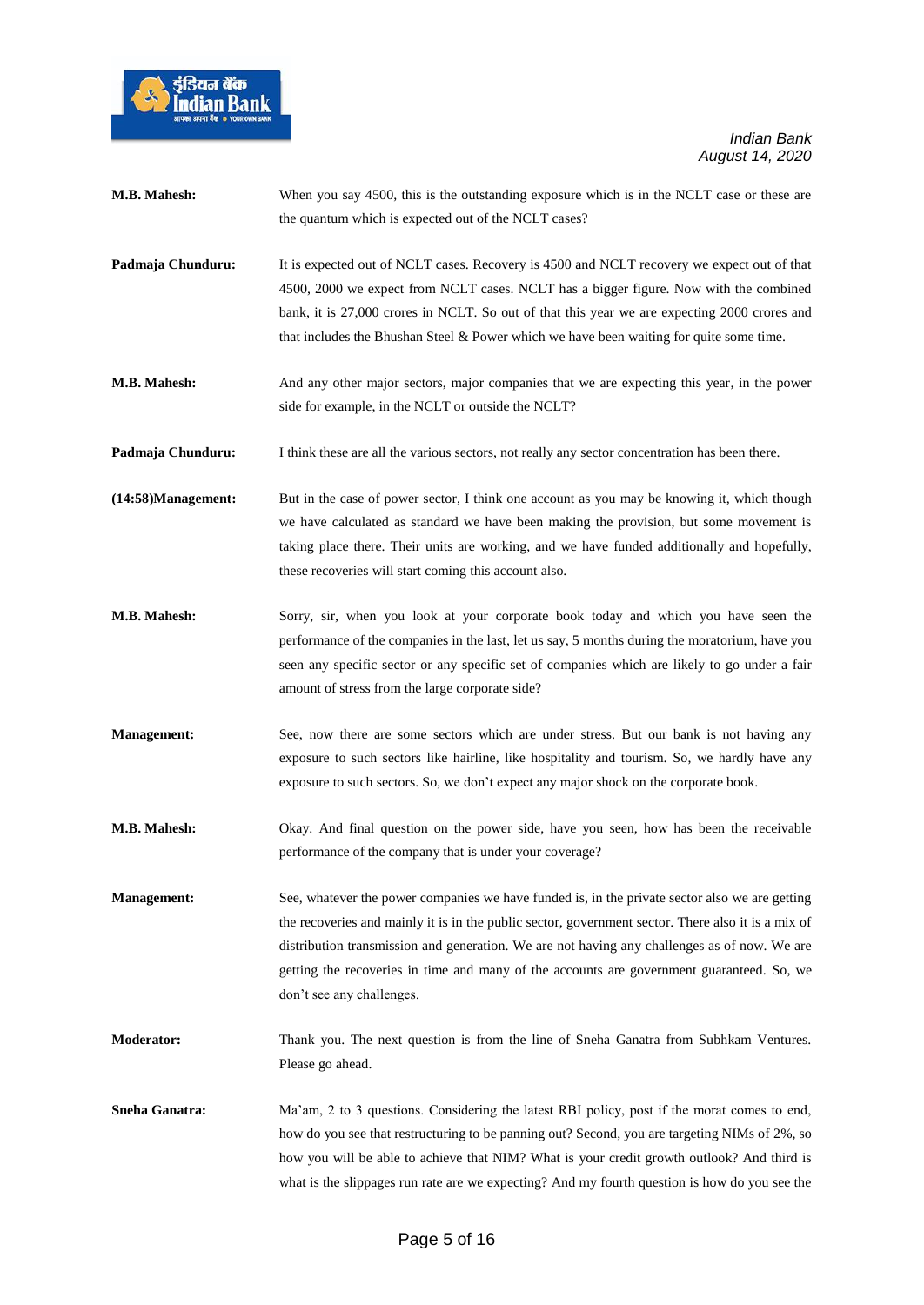

| M.B. Mahesh:          | When you say 4500, this is the outstanding exposure which is in the NCLT case or these are<br>the quantum which is expected out of the NCLT cases?                                                                                                                                                                                                                                                                             |
|-----------------------|--------------------------------------------------------------------------------------------------------------------------------------------------------------------------------------------------------------------------------------------------------------------------------------------------------------------------------------------------------------------------------------------------------------------------------|
| Padmaja Chunduru:     | It is expected out of NCLT cases. Recovery is 4500 and NCLT recovery we expect out of that<br>4500, 2000 we expect from NCLT cases. NCLT has a bigger figure. Now with the combined<br>bank, it is 27,000 crores in NCLT. So out of that this year we are expecting 2000 crores and<br>that includes the Bhushan Steel & Power which we have been waiting for quite some time.                                                 |
| M.B. Mahesh:          | And any other major sectors, major companies that we are expecting this year, in the power<br>side for example, in the NCLT or outside the NCLT?                                                                                                                                                                                                                                                                               |
| Padmaja Chunduru:     | I think these are all the various sectors, not really any sector concentration has been there.                                                                                                                                                                                                                                                                                                                                 |
| (14:58)Management:    | But in the case of power sector, I think one account as you may be knowing it, which though<br>we have calculated as standard we have been making the provision, but some movement is<br>taking place there. Their units are working, and we have funded additionally and hopefully,<br>these recoveries will start coming this account also.                                                                                  |
| M.B. Mahesh:          | Sorry, sir, when you look at your corporate book today and which you have seen the<br>performance of the companies in the last, let us say, 5 months during the moratorium, have you<br>seen any specific sector or any specific set of companies which are likely to go under a fair<br>amount of stress from the large corporate side?                                                                                       |
| <b>Management:</b>    | See, now there are some sectors which are under stress. But our bank is not having any<br>exposure to such sectors like hairline, like hospitality and tourism. So, we hardly have any<br>exposure to such sectors. So, we don't expect any major shock on the corporate book.                                                                                                                                                 |
| M.B. Mahesh:          | Okay. And final question on the power side, have you seen, how has been the receivable<br>performance of the company that is under your coverage?                                                                                                                                                                                                                                                                              |
| <b>Management:</b>    | See, whatever the power companies we have funded is, in the private sector also we are getting<br>the recoveries and mainly it is in the public sector, government sector. There also it is a mix of<br>distribution transmission and generation. We are not having any challenges as of now. We are<br>getting the recoveries in time and many of the accounts are government guaranteed. So, we<br>don't see any challenges. |
| <b>Moderator:</b>     | Thank you. The next question is from the line of Sneha Ganatra from Subhkam Ventures.<br>Please go ahead.                                                                                                                                                                                                                                                                                                                      |
| <b>Sneha Ganatra:</b> | Ma'am, 2 to 3 questions. Considering the latest RBI policy, post if the morat comes to end,<br>how do you see that restructuring to be panning out? Second, you are targeting NIMs of 2%, so<br>how you will be able to achieve that NIM? What is your credit growth outlook? And third is<br>what is the slippages run rate are we expecting? And my fourth question is how do you see the                                    |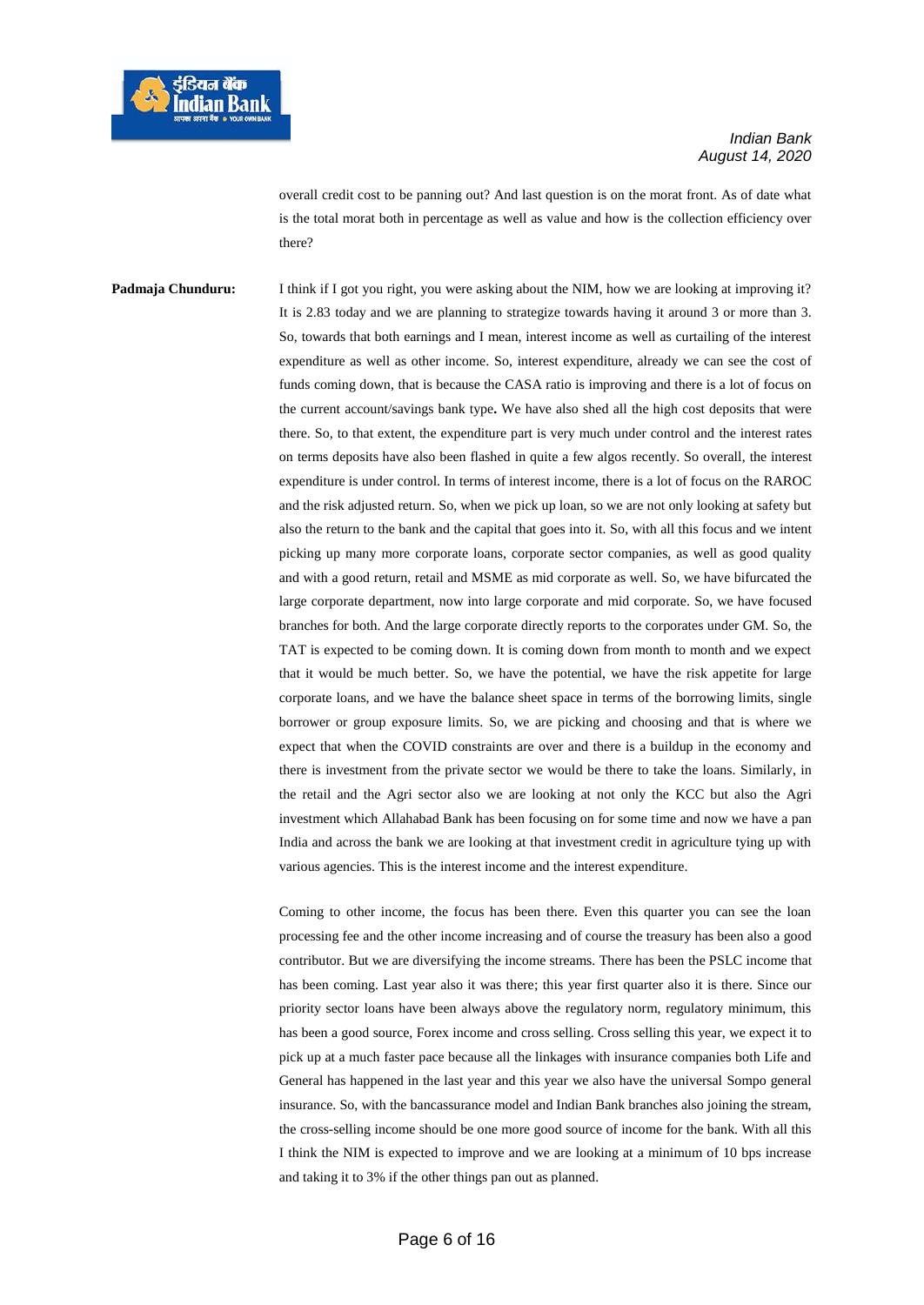overall credit cost to be panning out? And last question is on the morat front. As of date what is the total morat both in percentage as well as value and how is the collection efficiency over there?

**Padmaja Chunduru:** I think if I got you right, you were asking about the NIM, how we are looking at improving it? It is 2.83 today and we are planning to strategize towards having it around 3 or more than 3. So, towards that both earnings and I mean, interest income as well as curtailing of the interest expenditure as well as other income. So, interest expenditure, already we can see the cost of funds coming down, that is because the CASA ratio is improving and there is a lot of focus on the current account/savings bank type**.** We have also shed all the high cost deposits that were there. So, to that extent, the expenditure part is very much under control and the interest rates on terms deposits have also been flashed in quite a few algos recently. So overall, the interest expenditure is under control. In terms of interest income, there is a lot of focus on the RAROC and the risk adjusted return. So, when we pick up loan, so we are not only looking at safety but also the return to the bank and the capital that goes into it. So, with all this focus and we intent picking up many more corporate loans, corporate sector companies, as well as good quality and with a good return, retail and MSME as mid corporate as well. So, we have bifurcated the large corporate department, now into large corporate and mid corporate. So, we have focused branches for both. And the large corporate directly reports to the corporates under GM. So, the TAT is expected to be coming down. It is coming down from month to month and we expect that it would be much better. So, we have the potential, we have the risk appetite for large corporate loans, and we have the balance sheet space in terms of the borrowing limits, single borrower or group exposure limits. So, we are picking and choosing and that is where we expect that when the COVID constraints are over and there is a buildup in the economy and there is investment from the private sector we would be there to take the loans. Similarly, in the retail and the Agri sector also we are looking at not only the KCC but also the Agri investment which Allahabad Bank has been focusing on for some time and now we have a pan India and across the bank we are looking at that investment credit in agriculture tying up with various agencies. This is the interest income and the interest expenditure.

> Coming to other income, the focus has been there. Even this quarter you can see the loan processing fee and the other income increasing and of course the treasury has been also a good contributor. But we are diversifying the income streams. There has been the PSLC income that has been coming. Last year also it was there; this year first quarter also it is there. Since our priority sector loans have been always above the regulatory norm, regulatory minimum, this has been a good source, Forex income and cross selling. Cross selling this year, we expect it to pick up at a much faster pace because all the linkages with insurance companies both Life and General has happened in the last year and this year we also have the universal Sompo general insurance. So, with the bancassurance model and Indian Bank branches also joining the stream, the cross-selling income should be one more good source of income for the bank. With all this I think the NIM is expected to improve and we are looking at a minimum of 10 bps increase and taking it to 3% if the other things pan out as planned.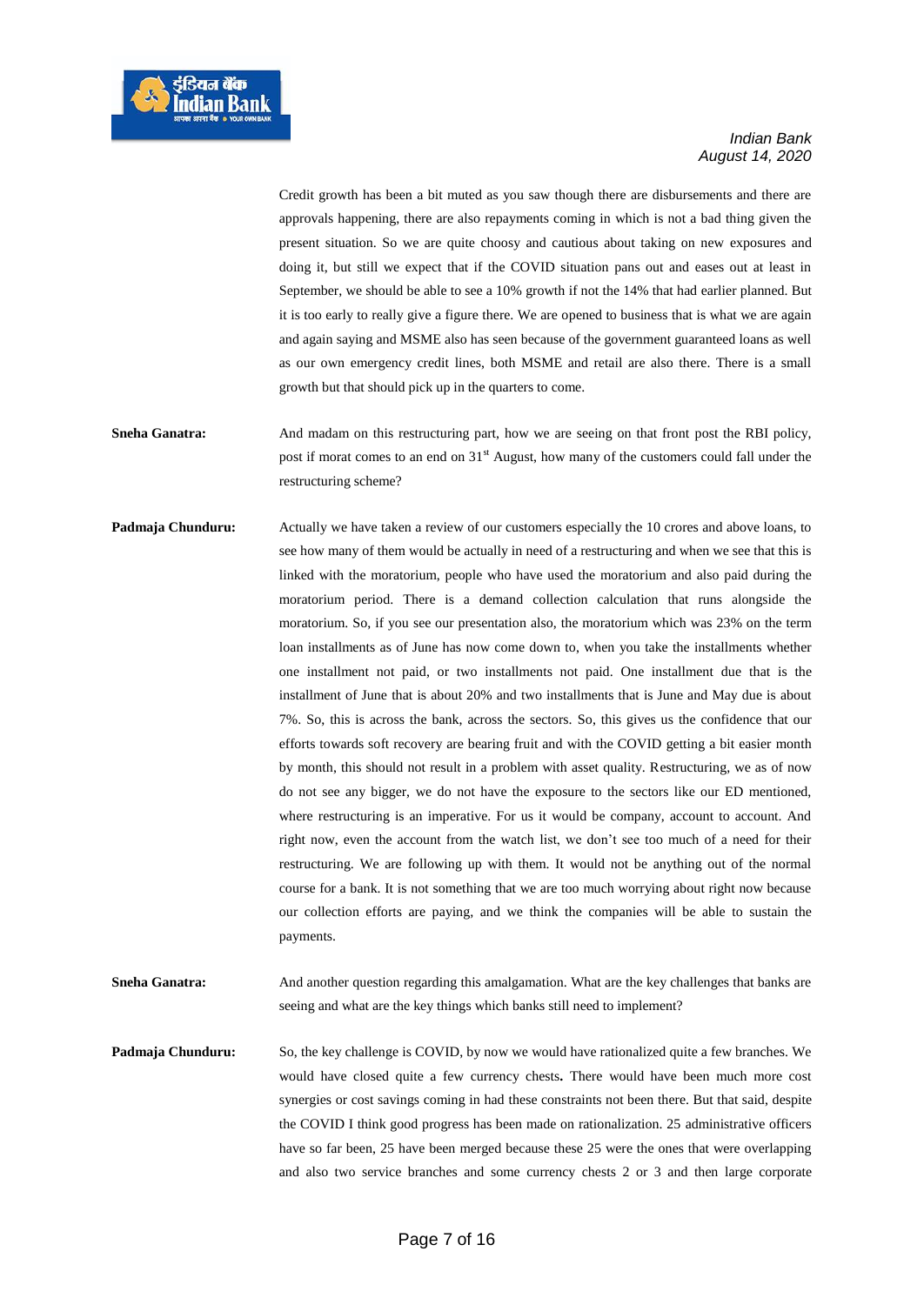Credit growth has been a bit muted as you saw though there are disbursements and there are approvals happening, there are also repayments coming in which is not a bad thing given the present situation. So we are quite choosy and cautious about taking on new exposures and doing it, but still we expect that if the COVID situation pans out and eases out at least in September, we should be able to see a 10% growth if not the 14% that had earlier planned. But it is too early to really give a figure there. We are opened to business that is what we are again and again saying and MSME also has seen because of the government guaranteed loans as well as our own emergency credit lines, both MSME and retail are also there. There is a small growth but that should pick up in the quarters to come.

- Sneha Ganatra: And madam on this restructuring part, how we are seeing on that front post the RBI policy, post if morat comes to an end on  $31<sup>st</sup>$  August, how many of the customers could fall under the restructuring scheme?
- **Padmaja Chunduru:** Actually we have taken a review of our customers especially the 10 crores and above loans, to see how many of them would be actually in need of a restructuring and when we see that this is linked with the moratorium, people who have used the moratorium and also paid during the moratorium period. There is a demand collection calculation that runs alongside the moratorium. So, if you see our presentation also, the moratorium which was 23% on the term loan installments as of June has now come down to, when you take the installments whether one installment not paid, or two installments not paid. One installment due that is the installment of June that is about 20% and two installments that is June and May due is about 7%. So, this is across the bank, across the sectors. So, this gives us the confidence that our efforts towards soft recovery are bearing fruit and with the COVID getting a bit easier month by month, this should not result in a problem with asset quality. Restructuring, we as of now do not see any bigger, we do not have the exposure to the sectors like our ED mentioned, where restructuring is an imperative. For us it would be company, account to account. And right now, even the account from the watch list, we don't see too much of a need for their restructuring. We are following up with them. It would not be anything out of the normal course for a bank. It is not something that we are too much worrying about right now because our collection efforts are paying, and we think the companies will be able to sustain the payments.
- **Sneha Ganatra:** And another question regarding this amalgamation. What are the key challenges that banks are seeing and what are the key things which banks still need to implement?

**Padmaja Chunduru:** So, the key challenge is COVID, by now we would have rationalized quite a few branches. We would have closed quite a few currency chests**.** There would have been much more cost synergies or cost savings coming in had these constraints not been there. But that said, despite the COVID I think good progress has been made on rationalization. 25 administrative officers have so far been, 25 have been merged because these 25 were the ones that were overlapping and also two service branches and some currency chests 2 or 3 and then large corporate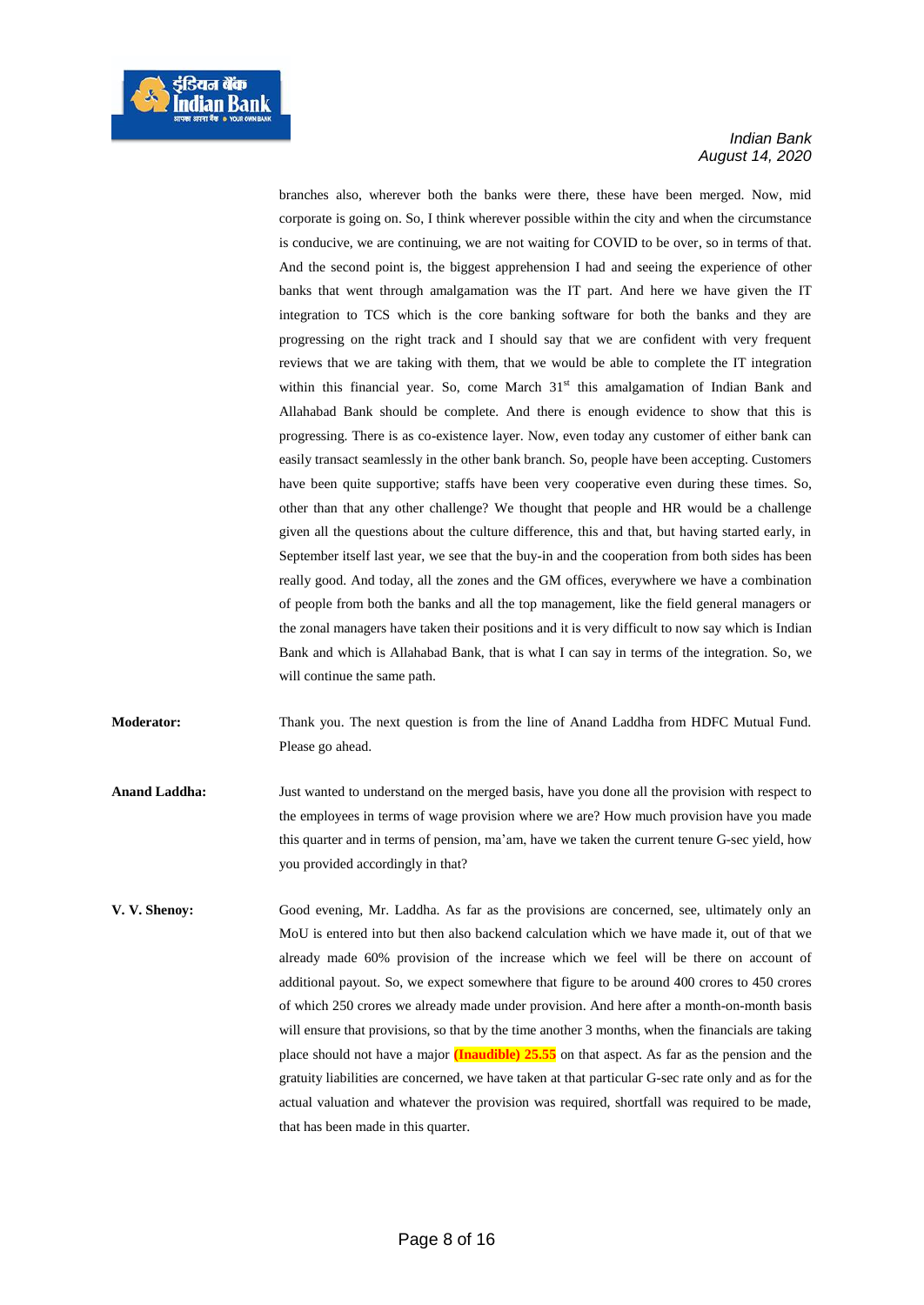

branches also, wherever both the banks were there, these have been merged. Now, mid corporate is going on. So, I think wherever possible within the city and when the circumstance is conducive, we are continuing, we are not waiting for COVID to be over, so in terms of that. And the second point is, the biggest apprehension I had and seeing the experience of other banks that went through amalgamation was the IT part. And here we have given the IT integration to TCS which is the core banking software for both the banks and they are progressing on the right track and I should say that we are confident with very frequent reviews that we are taking with them, that we would be able to complete the IT integration within this financial year. So, come March  $31<sup>st</sup>$  this amalgamation of Indian Bank and Allahabad Bank should be complete. And there is enough evidence to show that this is progressing. There is as co-existence layer. Now, even today any customer of either bank can easily transact seamlessly in the other bank branch. So, people have been accepting. Customers have been quite supportive; staffs have been very cooperative even during these times. So, other than that any other challenge? We thought that people and HR would be a challenge given all the questions about the culture difference, this and that, but having started early, in September itself last year, we see that the buy-in and the cooperation from both sides has been really good. And today, all the zones and the GM offices, everywhere we have a combination of people from both the banks and all the top management, like the field general managers or the zonal managers have taken their positions and it is very difficult to now say which is Indian Bank and which is Allahabad Bank, that is what I can say in terms of the integration. So, we will continue the same path.

**Moderator:** Thank you. The next question is from the line of Anand Laddha from HDFC Mutual Fund. Please go ahead.

- **Anand Laddha:** Just wanted to understand on the merged basis, have you done all the provision with respect to the employees in terms of wage provision where we are? How much provision have you made this quarter and in terms of pension, ma'am, have we taken the current tenure G-sec yield, how you provided accordingly in that?
- **V. V. Shenoy:** Good evening, Mr. Laddha. As far as the provisions are concerned, see, ultimately only an MoU is entered into but then also backend calculation which we have made it, out of that we already made 60% provision of the increase which we feel will be there on account of additional payout. So, we expect somewhere that figure to be around 400 crores to 450 crores of which 250 crores we already made under provision. And here after a month-on-month basis will ensure that provisions, so that by the time another 3 months, when the financials are taking place should not have a major **(Inaudible) 25.55** on that aspect. As far as the pension and the gratuity liabilities are concerned, we have taken at that particular G-sec rate only and as for the actual valuation and whatever the provision was required, shortfall was required to be made, that has been made in this quarter.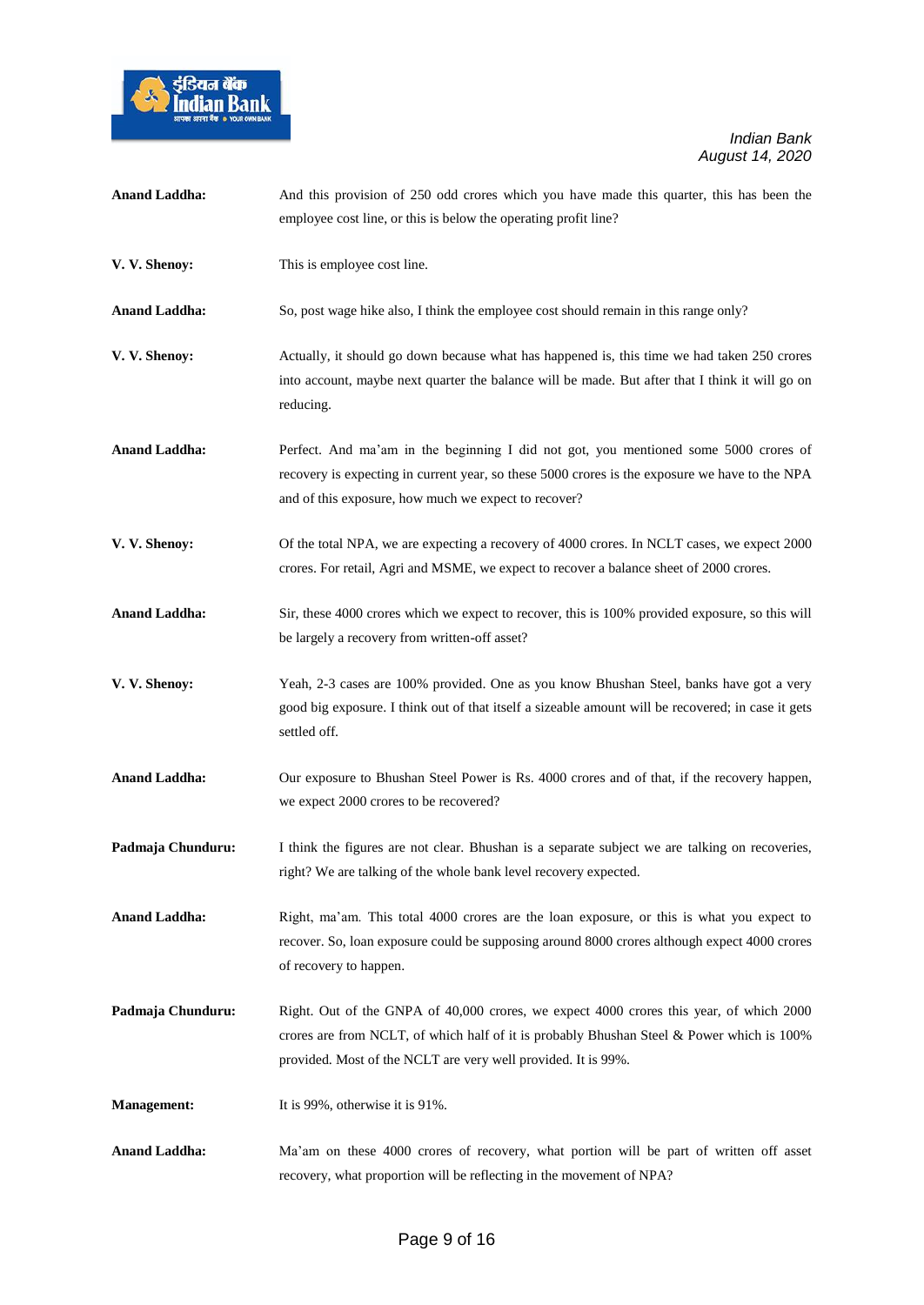

| <b>Anand Laddha:</b> | And this provision of 250 odd crores which you have made this quarter, this has been the<br>employee cost line, or this is below the operating profit line?                                                                                           |
|----------------------|-------------------------------------------------------------------------------------------------------------------------------------------------------------------------------------------------------------------------------------------------------|
| V. V. Shenoy:        | This is employee cost line.                                                                                                                                                                                                                           |
| <b>Anand Laddha:</b> | So, post wage hike also, I think the employee cost should remain in this range only?                                                                                                                                                                  |
| V. V. Shenoy:        | Actually, it should go down because what has happened is, this time we had taken 250 crores<br>into account, maybe next quarter the balance will be made. But after that I think it will go on<br>reducing.                                           |
| <b>Anand Laddha:</b> | Perfect. And ma'am in the beginning I did not got, you mentioned some 5000 crores of<br>recovery is expecting in current year, so these 5000 crores is the exposure we have to the NPA<br>and of this exposure, how much we expect to recover?        |
| V. V. Shenoy:        | Of the total NPA, we are expecting a recovery of 4000 crores. In NCLT cases, we expect 2000<br>crores. For retail, Agri and MSME, we expect to recover a balance sheet of 2000 crores.                                                                |
| <b>Anand Laddha:</b> | Sir, these 4000 crores which we expect to recover, this is 100% provided exposure, so this will<br>be largely a recovery from written-off asset?                                                                                                      |
| V. V. Shenoy:        | Yeah, 2-3 cases are 100% provided. One as you know Bhushan Steel, banks have got a very<br>good big exposure. I think out of that itself a sizeable amount will be recovered; in case it gets<br>settled off.                                         |
| <b>Anand Laddha:</b> | Our exposure to Bhushan Steel Power is Rs. 4000 crores and of that, if the recovery happen,<br>we expect 2000 crores to be recovered?                                                                                                                 |
| Padmaja Chunduru:    | I think the figures are not clear. Bhushan is a separate subject we are talking on recoveries,<br>right? We are talking of the whole bank level recovery expected.                                                                                    |
| <b>Anand Laddha:</b> | Right, ma'am. This total 4000 crores are the loan exposure, or this is what you expect to<br>recover. So, loan exposure could be supposing around 8000 crores although expect 4000 crores<br>of recovery to happen.                                   |
| Padmaja Chunduru:    | Right. Out of the GNPA of 40,000 crores, we expect 4000 crores this year, of which 2000<br>crores are from NCLT, of which half of it is probably Bhushan Steel & Power which is 100%<br>provided. Most of the NCLT are very well provided. It is 99%. |
| <b>Management:</b>   | It is 99%, otherwise it is $91\%$ .                                                                                                                                                                                                                   |
| <b>Anand Laddha:</b> | Ma'am on these 4000 crores of recovery, what portion will be part of written off asset<br>recovery, what proportion will be reflecting in the movement of NPA?                                                                                        |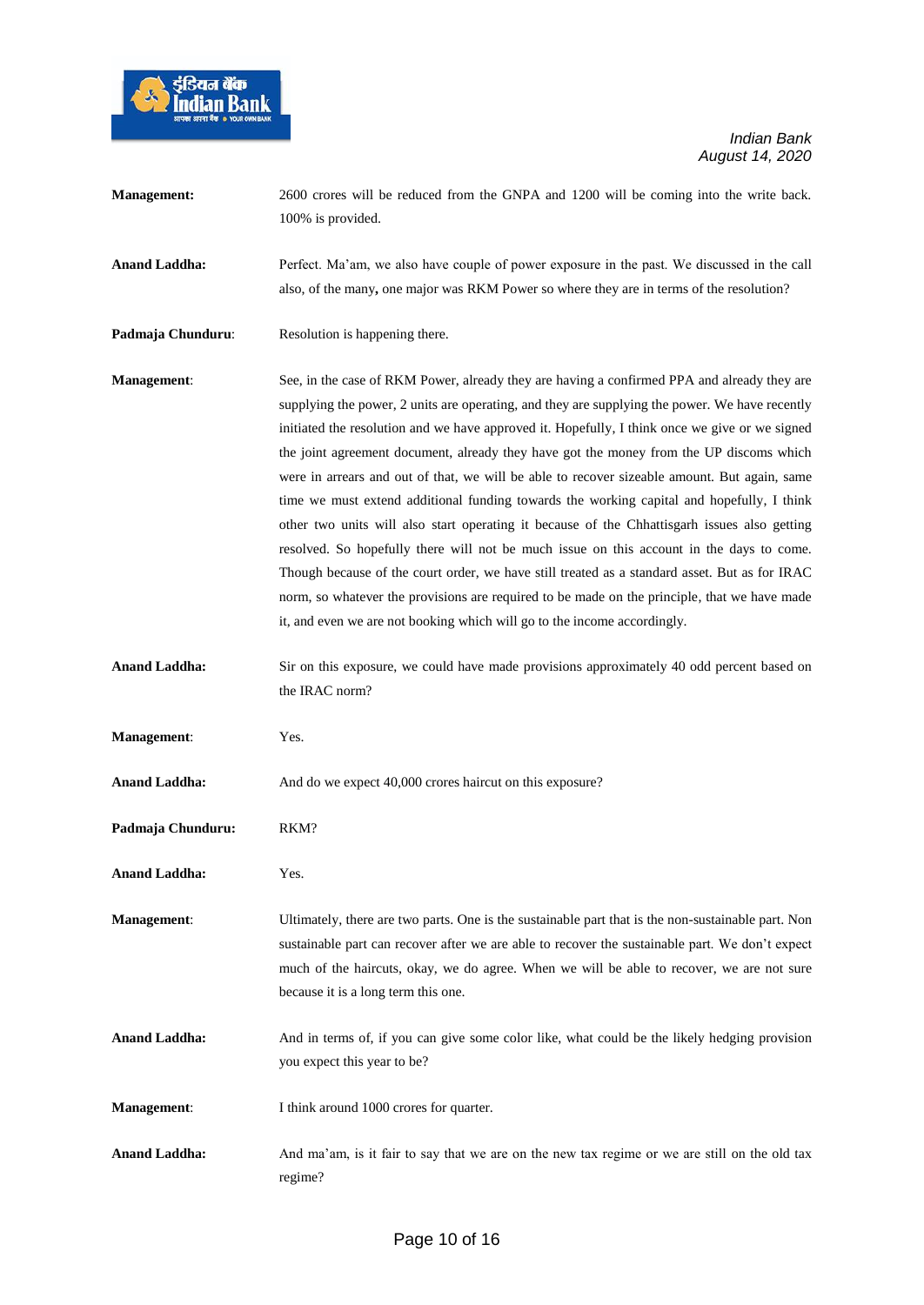

| <b>Management:</b>   | 2600 crores will be reduced from the GNPA and 1200 will be coming into the write back.<br>100% is provided.                                                                                                                                                                                                                                                                                                                                                                                                                                                                                                                                                                                                                                                                                                                                                                                                                                                                                                                                                      |
|----------------------|------------------------------------------------------------------------------------------------------------------------------------------------------------------------------------------------------------------------------------------------------------------------------------------------------------------------------------------------------------------------------------------------------------------------------------------------------------------------------------------------------------------------------------------------------------------------------------------------------------------------------------------------------------------------------------------------------------------------------------------------------------------------------------------------------------------------------------------------------------------------------------------------------------------------------------------------------------------------------------------------------------------------------------------------------------------|
| <b>Anand Laddha:</b> | Perfect. Ma'am, we also have couple of power exposure in the past. We discussed in the call<br>also, of the many, one major was RKM Power so where they are in terms of the resolution?                                                                                                                                                                                                                                                                                                                                                                                                                                                                                                                                                                                                                                                                                                                                                                                                                                                                          |
| Padmaja Chunduru:    | Resolution is happening there.                                                                                                                                                                                                                                                                                                                                                                                                                                                                                                                                                                                                                                                                                                                                                                                                                                                                                                                                                                                                                                   |
| <b>Management:</b>   | See, in the case of RKM Power, already they are having a confirmed PPA and already they are<br>supplying the power, 2 units are operating, and they are supplying the power. We have recently<br>initiated the resolution and we have approved it. Hopefully, I think once we give or we signed<br>the joint agreement document, already they have got the money from the UP discoms which<br>were in arrears and out of that, we will be able to recover sizeable amount. But again, same<br>time we must extend additional funding towards the working capital and hopefully, I think<br>other two units will also start operating it because of the Chhattisgarh issues also getting<br>resolved. So hopefully there will not be much issue on this account in the days to come.<br>Though because of the court order, we have still treated as a standard asset. But as for IRAC<br>norm, so whatever the provisions are required to be made on the principle, that we have made<br>it, and even we are not booking which will go to the income accordingly. |
| <b>Anand Laddha:</b> | Sir on this exposure, we could have made provisions approximately 40 odd percent based on<br>the IRAC norm?                                                                                                                                                                                                                                                                                                                                                                                                                                                                                                                                                                                                                                                                                                                                                                                                                                                                                                                                                      |
| Management:          | Yes.                                                                                                                                                                                                                                                                                                                                                                                                                                                                                                                                                                                                                                                                                                                                                                                                                                                                                                                                                                                                                                                             |
| <b>Anand Laddha:</b> | And do we expect 40,000 crores haircut on this exposure?                                                                                                                                                                                                                                                                                                                                                                                                                                                                                                                                                                                                                                                                                                                                                                                                                                                                                                                                                                                                         |
| Padmaja Chunduru:    | RKM?                                                                                                                                                                                                                                                                                                                                                                                                                                                                                                                                                                                                                                                                                                                                                                                                                                                                                                                                                                                                                                                             |
| <b>Anand Laddha:</b> | Yes.                                                                                                                                                                                                                                                                                                                                                                                                                                                                                                                                                                                                                                                                                                                                                                                                                                                                                                                                                                                                                                                             |
| <b>Management:</b>   | Ultimately, there are two parts. One is the sustainable part that is the non-sustainable part. Non<br>sustainable part can recover after we are able to recover the sustainable part. We don't expect<br>much of the haircuts, okay, we do agree. When we will be able to recover, we are not sure<br>because it is a long term this one.                                                                                                                                                                                                                                                                                                                                                                                                                                                                                                                                                                                                                                                                                                                        |
| <b>Anand Laddha:</b> | And in terms of, if you can give some color like, what could be the likely hedging provision<br>you expect this year to be?                                                                                                                                                                                                                                                                                                                                                                                                                                                                                                                                                                                                                                                                                                                                                                                                                                                                                                                                      |
| <b>Management:</b>   | I think around 1000 crores for quarter.                                                                                                                                                                                                                                                                                                                                                                                                                                                                                                                                                                                                                                                                                                                                                                                                                                                                                                                                                                                                                          |
| <b>Anand Laddha:</b> | And ma'am, is it fair to say that we are on the new tax regime or we are still on the old tax<br>regime?                                                                                                                                                                                                                                                                                                                                                                                                                                                                                                                                                                                                                                                                                                                                                                                                                                                                                                                                                         |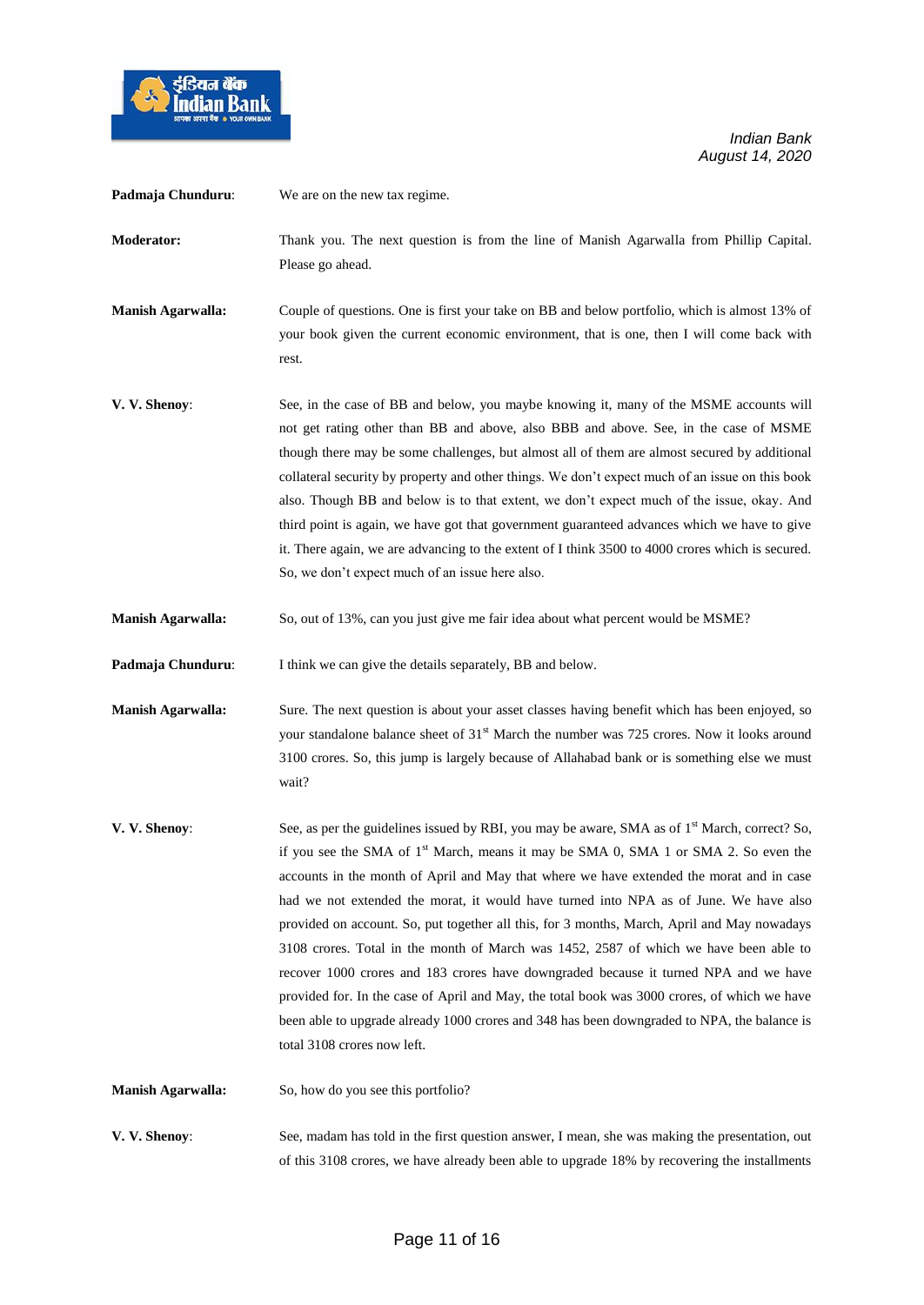

| Padmaja Chunduru:        | We are on the new tax regime.                                                                                                                                                                                                                                                                                                                                                                                                                                                                                                                                                                                                                                                                                                                                                                                                                                                                                   |
|--------------------------|-----------------------------------------------------------------------------------------------------------------------------------------------------------------------------------------------------------------------------------------------------------------------------------------------------------------------------------------------------------------------------------------------------------------------------------------------------------------------------------------------------------------------------------------------------------------------------------------------------------------------------------------------------------------------------------------------------------------------------------------------------------------------------------------------------------------------------------------------------------------------------------------------------------------|
| <b>Moderator:</b>        | Thank you. The next question is from the line of Manish Agarwalla from Phillip Capital.<br>Please go ahead.                                                                                                                                                                                                                                                                                                                                                                                                                                                                                                                                                                                                                                                                                                                                                                                                     |
| <b>Manish Agarwalla:</b> | Couple of questions. One is first your take on BB and below portfolio, which is almost 13% of<br>your book given the current economic environment, that is one, then I will come back with<br>rest.                                                                                                                                                                                                                                                                                                                                                                                                                                                                                                                                                                                                                                                                                                             |
| V. V. Shenoy:            | See, in the case of BB and below, you maybe knowing it, many of the MSME accounts will<br>not get rating other than BB and above, also BBB and above. See, in the case of MSME<br>though there may be some challenges, but almost all of them are almost secured by additional<br>collateral security by property and other things. We don't expect much of an issue on this book<br>also. Though BB and below is to that extent, we don't expect much of the issue, okay. And<br>third point is again, we have got that government guaranteed advances which we have to give<br>it. There again, we are advancing to the extent of I think 3500 to 4000 crores which is secured.<br>So, we don't expect much of an issue here also.                                                                                                                                                                            |
| <b>Manish Agarwalla:</b> | So, out of 13%, can you just give me fair idea about what percent would be MSME?                                                                                                                                                                                                                                                                                                                                                                                                                                                                                                                                                                                                                                                                                                                                                                                                                                |
| Padmaja Chunduru:        | I think we can give the details separately, BB and below.                                                                                                                                                                                                                                                                                                                                                                                                                                                                                                                                                                                                                                                                                                                                                                                                                                                       |
| <b>Manish Agarwalla:</b> | Sure. The next question is about your asset classes having benefit which has been enjoyed, so<br>your standalone balance sheet of 31 <sup>st</sup> March the number was 725 crores. Now it looks around<br>3100 crores. So, this jump is largely because of Allahabad bank or is something else we must<br>wait?                                                                                                                                                                                                                                                                                                                                                                                                                                                                                                                                                                                                |
| V. V. Shenoy:            | See, as per the guidelines issued by RBI, you may be aware, SMA as of 1 <sup>st</sup> March, correct? So,<br>if you see the SMA of 1 <sup>st</sup> March, means it may be SMA 0, SMA 1 or SMA 2. So even the<br>accounts in the month of April and May that where we have extended the morat and in case<br>had we not extended the morat, it would have turned into NPA as of June. We have also<br>provided on account. So, put together all this, for 3 months, March, April and May nowadays<br>3108 crores. Total in the month of March was 1452, 2587 of which we have been able to<br>recover 1000 crores and 183 crores have downgraded because it turned NPA and we have<br>provided for. In the case of April and May, the total book was 3000 crores, of which we have<br>been able to upgrade already 1000 crores and 348 has been downgraded to NPA, the balance is<br>total 3108 crores now left. |
| <b>Manish Agarwalla:</b> | So, how do you see this portfolio?                                                                                                                                                                                                                                                                                                                                                                                                                                                                                                                                                                                                                                                                                                                                                                                                                                                                              |
| V. V. Shenoy:            | See, madam has told in the first question answer, I mean, she was making the presentation, out<br>of this 3108 crores, we have already been able to upgrade 18% by recovering the installments                                                                                                                                                                                                                                                                                                                                                                                                                                                                                                                                                                                                                                                                                                                  |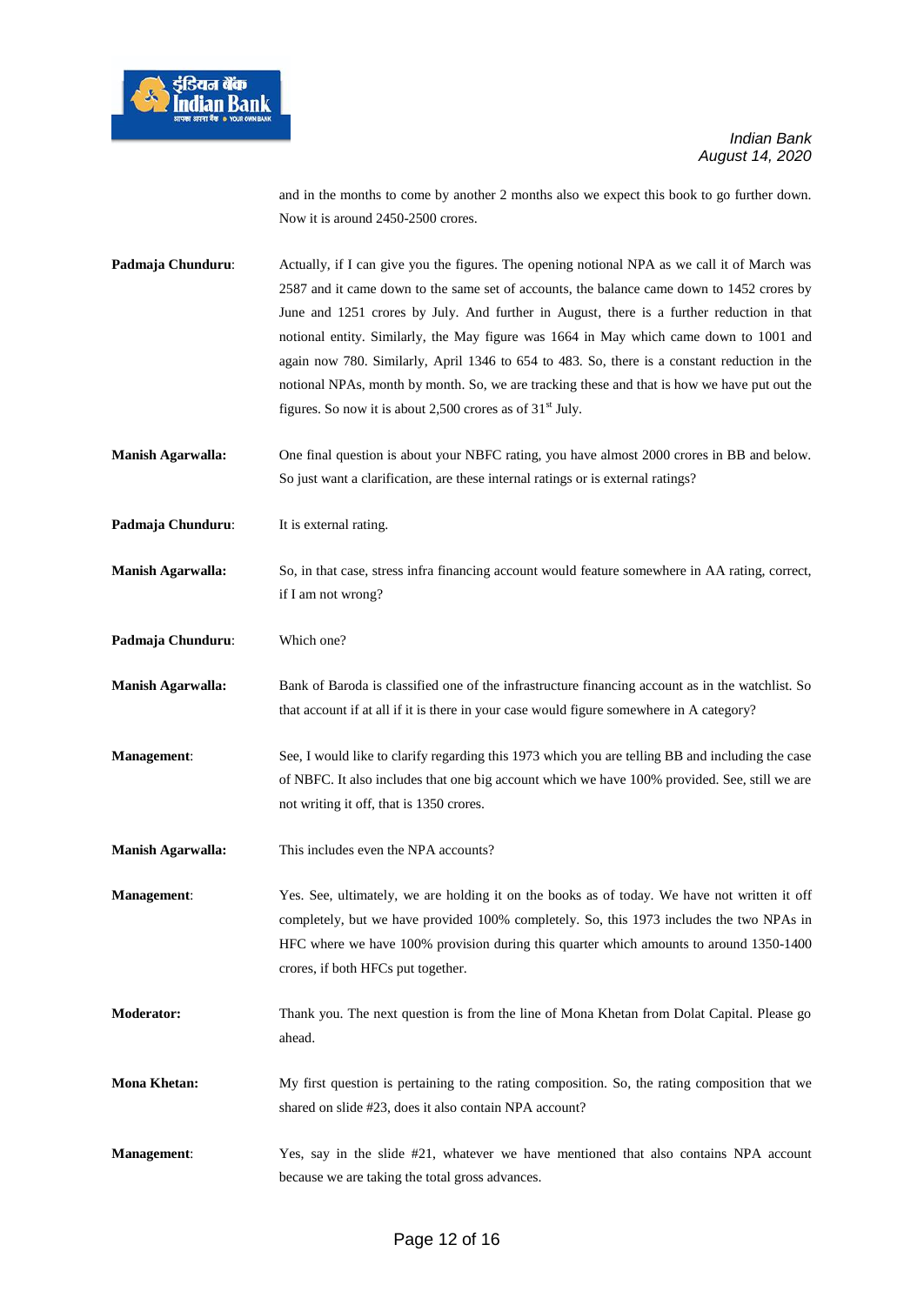

and in the months to come by another 2 months also we expect this book to go further down. Now it is around 2450-2500 crores.

**Padmaja Chunduru:** Actually, if I can give you the figures. The opening notional NPA as we call it of March was 2587 and it came down to the same set of accounts, the balance came down to 1452 crores by June and 1251 crores by July. And further in August, there is a further reduction in that notional entity. Similarly, the May figure was 1664 in May which came down to 1001 and again now 780. Similarly, April 1346 to 654 to 483. So, there is a constant reduction in the notional NPAs, month by month. So, we are tracking these and that is how we have put out the figures. So now it is about 2,500 crores as of  $31<sup>st</sup>$  July.

**Manish Agarwalla:** One final question is about your NBFC rating, you have almost 2000 crores in BB and below. So just want a clarification, are these internal ratings or is external ratings?

**Padmaja Chunduru:** It is external rating.

**Manish Agarwalla:** So, in that case, stress infra financing account would feature somewhere in AA rating, correct, if I am not wrong?

**Padmaja Chunduru**: Which one?

**Manish Agarwalla:** Bank of Baroda is classified one of the infrastructure financing account as in the watchlist. So that account if at all if it is there in your case would figure somewhere in A category?

**Management:** See, I would like to clarify regarding this 1973 which you are telling BB and including the case of NBFC. It also includes that one big account which we have 100% provided. See, still we are not writing it off, that is 1350 crores.

**Manish Agarwalla:** This includes even the NPA accounts?

**Management**: Yes. See, ultimately, we are holding it on the books as of today. We have not written it off completely, but we have provided 100% completely. So, this 1973 includes the two NPAs in HFC where we have 100% provision during this quarter which amounts to around 1350-1400 crores, if both HFCs put together.

**Moderator:** Thank you. The next question is from the line of Mona Khetan from Dolat Capital. Please go ahead.

**Mona Khetan:** My first question is pertaining to the rating composition. So, the rating composition that we shared on slide #23, does it also contain NPA account?

**Management**: Yes, say in the slide #21, whatever we have mentioned that also contains NPA account because we are taking the total gross advances.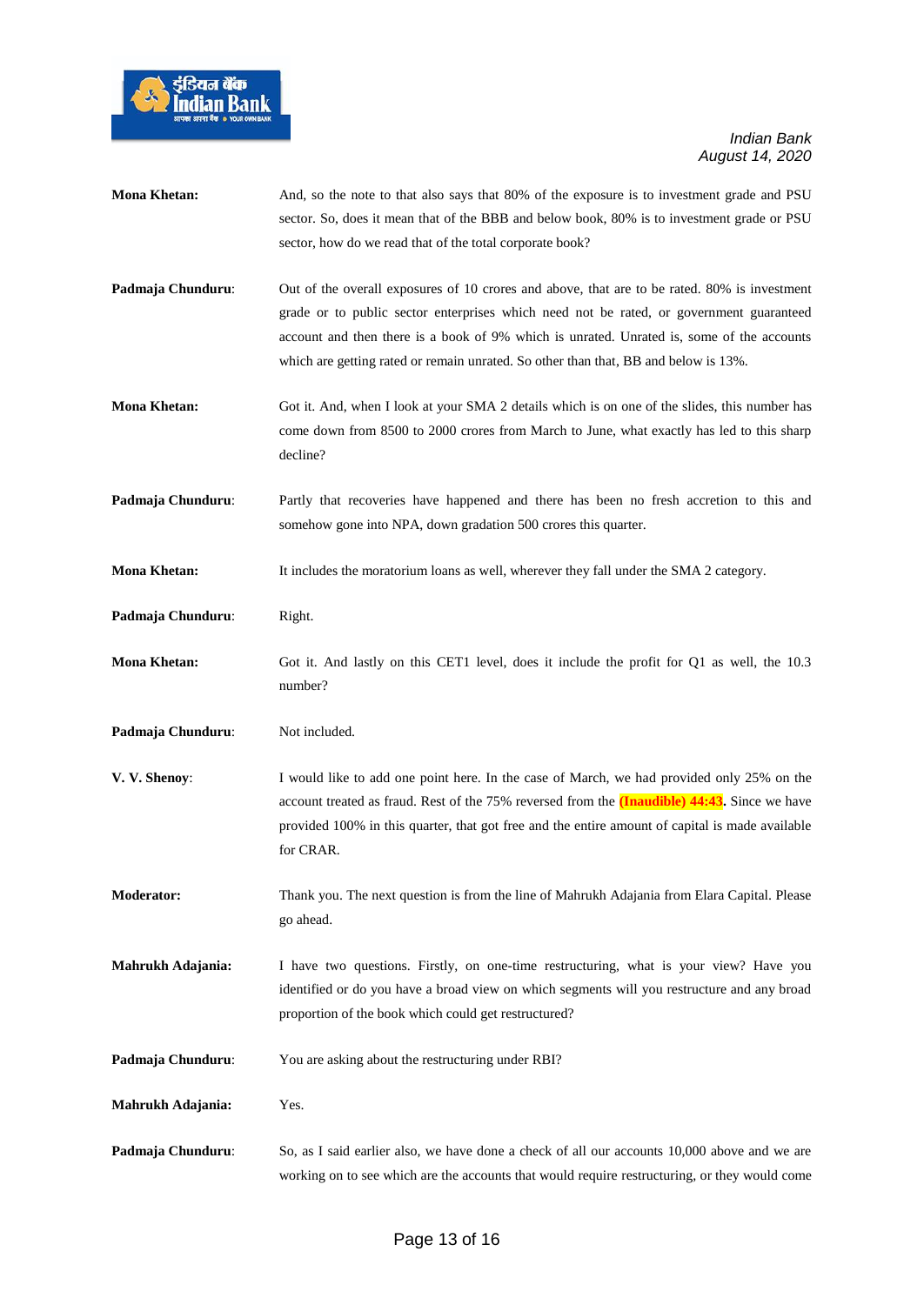

| <b>Mona Khetan:</b> | And, so the note to that also says that 80% of the exposure is to investment grade and PSU<br>sector. So, does it mean that of the BBB and below book, 80% is to investment grade or PSU<br>sector, how do we read that of the total corporate book?                                                                                                                        |
|---------------------|-----------------------------------------------------------------------------------------------------------------------------------------------------------------------------------------------------------------------------------------------------------------------------------------------------------------------------------------------------------------------------|
| Padmaja Chunduru:   | Out of the overall exposures of 10 crores and above, that are to be rated. 80% is investment<br>grade or to public sector enterprises which need not be rated, or government guaranteed<br>account and then there is a book of 9% which is unrated. Unrated is, some of the accounts<br>which are getting rated or remain unrated. So other than that, BB and below is 13%. |
| <b>Mona Khetan:</b> | Got it. And, when I look at your SMA 2 details which is on one of the slides, this number has<br>come down from 8500 to 2000 crores from March to June, what exactly has led to this sharp<br>decline?                                                                                                                                                                      |
| Padmaja Chunduru:   | Partly that recoveries have happened and there has been no fresh accretion to this and<br>somehow gone into NPA, down gradation 500 crores this quarter.                                                                                                                                                                                                                    |
| <b>Mona Khetan:</b> | It includes the moratorium loans as well, wherever they fall under the SMA 2 category.                                                                                                                                                                                                                                                                                      |
| Padmaja Chunduru:   | Right.                                                                                                                                                                                                                                                                                                                                                                      |
| <b>Mona Khetan:</b> | Got it. And lastly on this CET1 level, does it include the profit for Q1 as well, the 10.3<br>number?                                                                                                                                                                                                                                                                       |
| Padmaja Chunduru:   | Not included.                                                                                                                                                                                                                                                                                                                                                               |
| V. V. Shenoy:       | I would like to add one point here. In the case of March, we had provided only 25% on the<br>account treated as fraud. Rest of the 75% reversed from the <b>(Inaudible) 44:43</b> . Since we have<br>provided 100% in this quarter, that got free and the entire amount of capital is made available<br>for CRAR.                                                           |
| <b>Moderator:</b>   | Thank you. The next question is from the line of Mahrukh Adajania from Elara Capital. Please<br>go ahead.                                                                                                                                                                                                                                                                   |
| Mahrukh Adajania:   | I have two questions. Firstly, on one-time restructuring, what is your view? Have you<br>identified or do you have a broad view on which segments will you restructure and any broad<br>proportion of the book which could get restructured?                                                                                                                                |
| Padmaja Chunduru:   | You are asking about the restructuring under RBI?                                                                                                                                                                                                                                                                                                                           |
| Mahrukh Adajania:   | Yes.                                                                                                                                                                                                                                                                                                                                                                        |
| Padmaja Chunduru:   | So, as I said earlier also, we have done a check of all our accounts 10,000 above and we are<br>working on to see which are the accounts that would require restructuring, or they would come                                                                                                                                                                               |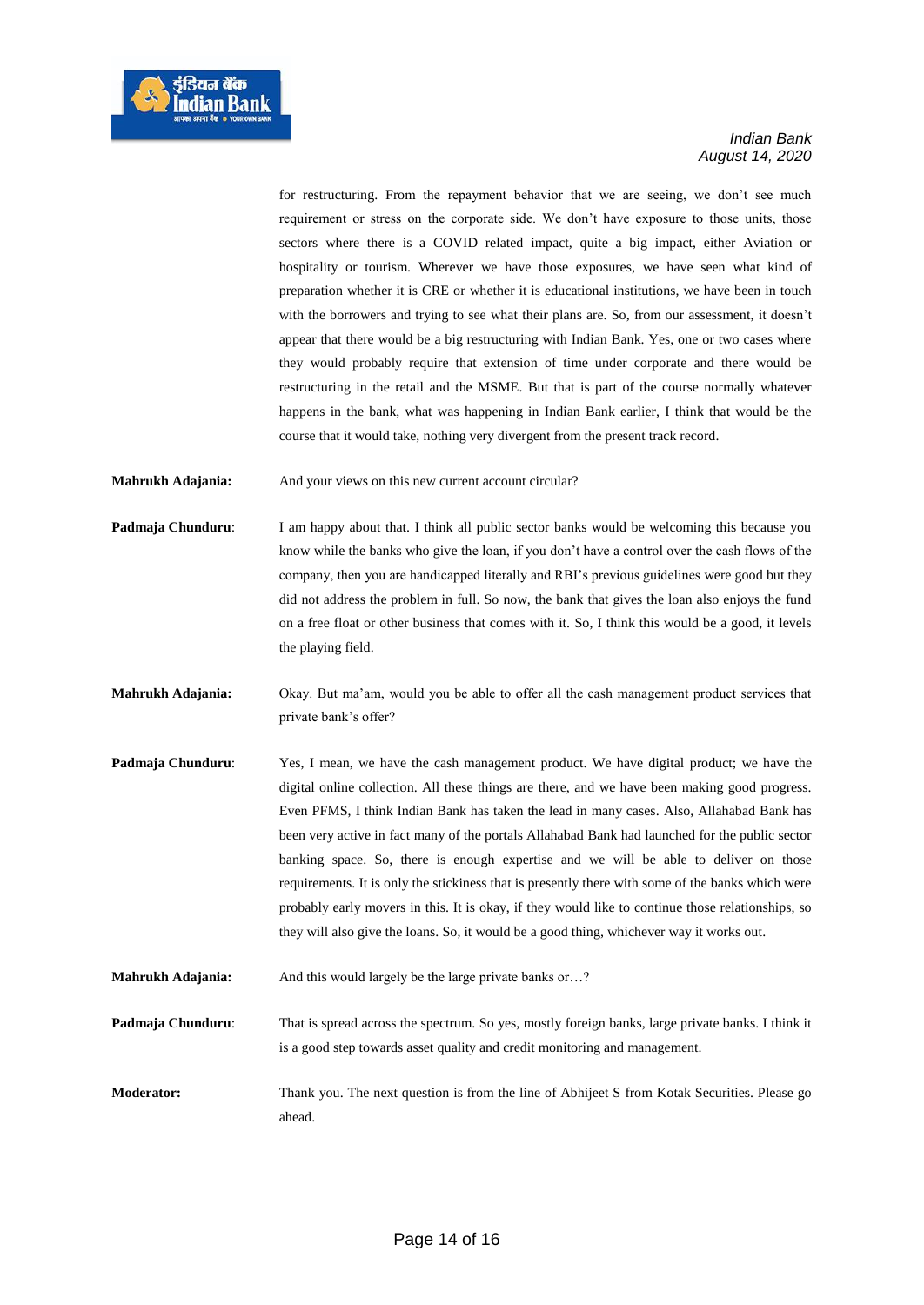

for restructuring. From the repayment behavior that we are seeing, we don't see much requirement or stress on the corporate side. We don't have exposure to those units, those sectors where there is a COVID related impact, quite a big impact, either Aviation or hospitality or tourism. Wherever we have those exposures, we have seen what kind of preparation whether it is CRE or whether it is educational institutions, we have been in touch with the borrowers and trying to see what their plans are. So, from our assessment, it doesn't appear that there would be a big restructuring with Indian Bank. Yes, one or two cases where they would probably require that extension of time under corporate and there would be restructuring in the retail and the MSME. But that is part of the course normally whatever happens in the bank, what was happening in Indian Bank earlier, I think that would be the course that it would take, nothing very divergent from the present track record.

**Mahrukh Adajania:** And your views on this new current account circular?

- **Padmaja Chunduru:** I am happy about that. I think all public sector banks would be welcoming this because you know while the banks who give the loan, if you don't have a control over the cash flows of the company, then you are handicapped literally and RBI's previous guidelines were good but they did not address the problem in full. So now, the bank that gives the loan also enjoys the fund on a free float or other business that comes with it. So, I think this would be a good, it levels the playing field.
- **Mahrukh Adajania:** Okay. But ma'am, would you be able to offer all the cash management product services that private bank's offer?
- **Padmaja Chunduru**: Yes, I mean, we have the cash management product. We have digital product; we have the digital online collection. All these things are there, and we have been making good progress. Even PFMS, I think Indian Bank has taken the lead in many cases. Also, Allahabad Bank has been very active in fact many of the portals Allahabad Bank had launched for the public sector banking space. So, there is enough expertise and we will be able to deliver on those requirements. It is only the stickiness that is presently there with some of the banks which were probably early movers in this. It is okay, if they would like to continue those relationships, so they will also give the loans. So, it would be a good thing, whichever way it works out.
- **Mahrukh Adajania:** And this would largely be the large private banks or...?
- **Padmaja Chunduru:** That is spread across the spectrum. So yes, mostly foreign banks, large private banks. I think it is a good step towards asset quality and credit monitoring and management.
- **Moderator:** Thank you. The next question is from the line of Abhijeet S from Kotak Securities. Please go ahead.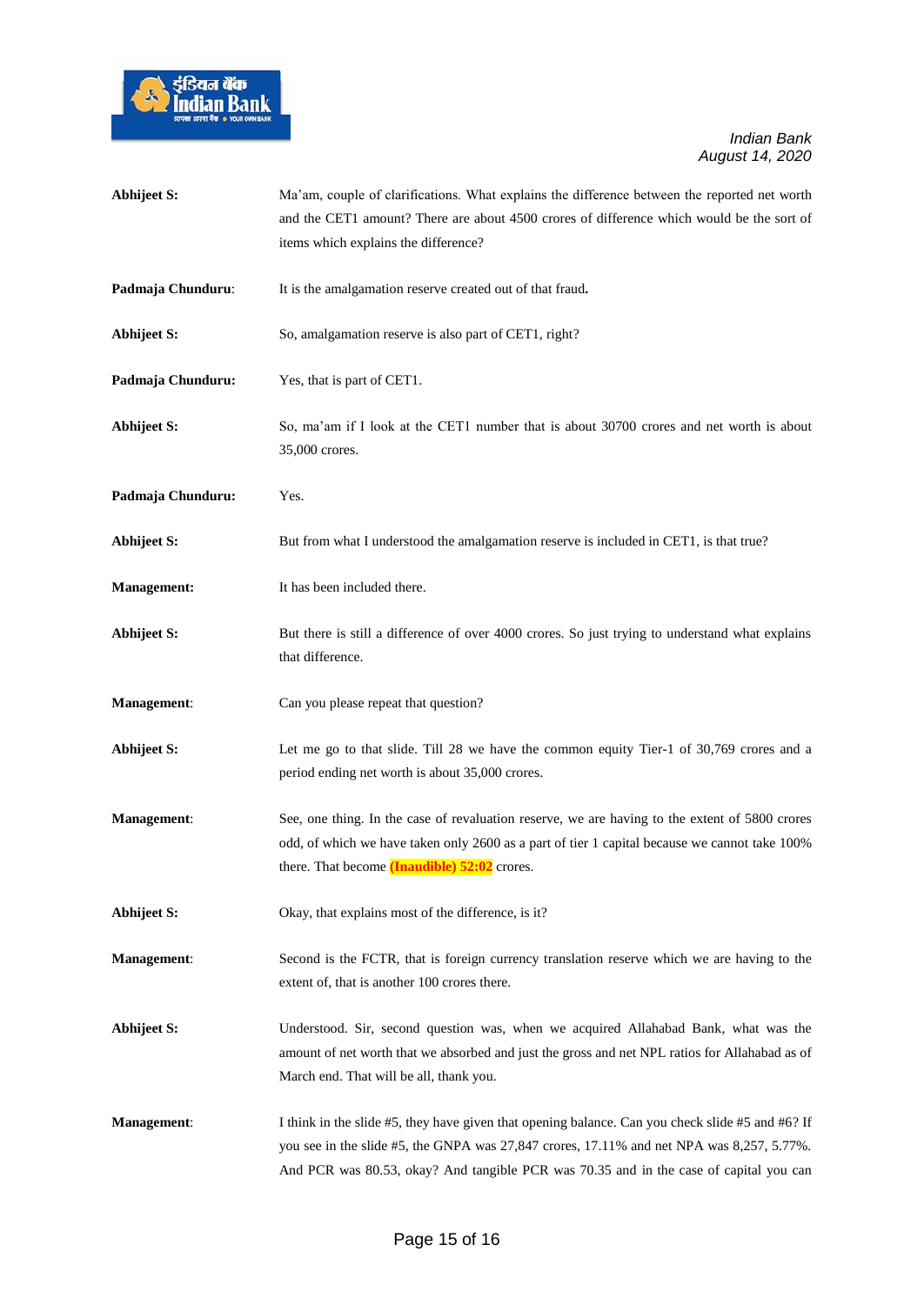

| Abhijeet S:        | Ma'am, couple of clarifications. What explains the difference between the reported net worth                                                                                                                                                                                            |
|--------------------|-----------------------------------------------------------------------------------------------------------------------------------------------------------------------------------------------------------------------------------------------------------------------------------------|
|                    | and the CET1 amount? There are about 4500 crores of difference which would be the sort of                                                                                                                                                                                               |
|                    | items which explains the difference?                                                                                                                                                                                                                                                    |
| Padmaja Chunduru:  | It is the amalgamation reserve created out of that fraud.                                                                                                                                                                                                                               |
| <b>Abhijeet S:</b> | So, amalgamation reserve is also part of CET1, right?                                                                                                                                                                                                                                   |
| Padmaja Chunduru:  | Yes, that is part of CET1.                                                                                                                                                                                                                                                              |
| <b>Abhijeet S:</b> | So, ma'am if I look at the CET1 number that is about 30700 crores and net worth is about<br>35,000 crores.                                                                                                                                                                              |
| Padmaja Chunduru:  | Yes.                                                                                                                                                                                                                                                                                    |
| <b>Abhijeet S:</b> | But from what I understood the amalgamation reserve is included in CET1, is that true?                                                                                                                                                                                                  |
| <b>Management:</b> | It has been included there.                                                                                                                                                                                                                                                             |
| <b>Abhijeet S:</b> | But there is still a difference of over 4000 crores. So just trying to understand what explains<br>that difference.                                                                                                                                                                     |
| Management:        | Can you please repeat that question?                                                                                                                                                                                                                                                    |
| <b>Abhijeet S:</b> | Let me go to that slide. Till 28 we have the common equity Tier-1 of 30,769 crores and a<br>period ending net worth is about 35,000 crores.                                                                                                                                             |
| Management:        | See, one thing. In the case of revaluation reserve, we are having to the extent of 5800 crores<br>odd, of which we have taken only 2600 as a part of tier 1 capital because we cannot take 100%<br>there. That become (Inaudible) 52:02 crores.                                         |
| <b>Abhijeet S:</b> | Okay, that explains most of the difference, is it?                                                                                                                                                                                                                                      |
| <b>Management:</b> | Second is the FCTR, that is foreign currency translation reserve which we are having to the<br>extent of, that is another 100 crores there.                                                                                                                                             |
| Abhijeet S:        | Understood. Sir, second question was, when we acquired Allahabad Bank, what was the<br>amount of net worth that we absorbed and just the gross and net NPL ratios for Allahabad as of<br>March end. That will be all, thank you.                                                        |
| <b>Management:</b> | I think in the slide #5, they have given that opening balance. Can you check slide #5 and #6? If<br>you see in the slide #5, the GNPA was 27,847 crores, 17.11% and net NPA was 8,257, 5.77%.<br>And PCR was 80.53, okay? And tangible PCR was 70.35 and in the case of capital you can |